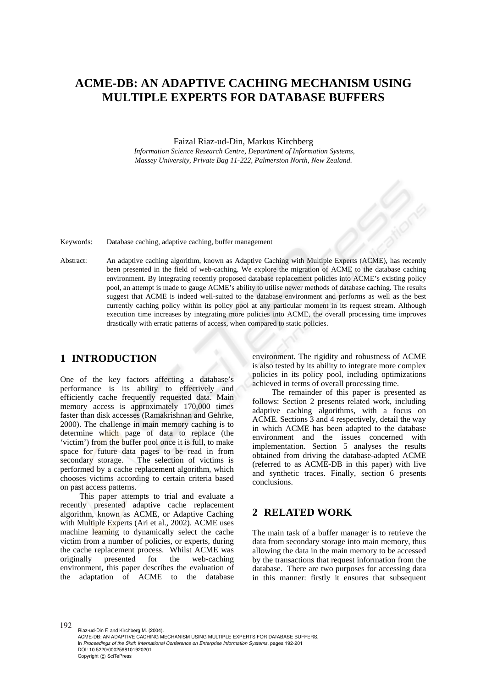# **ACME-DB: AN ADAPTIVE CACHING MECHANISM USING MULTIPLE EXPERTS FOR DATABASE BUFFERS**

Faizal Riaz-ud-Din, Markus Kirchberg

 *Information Science Research Centre, Department of Information Systems, Massey University, Private Bag 11-222, Palmerston North, New Zealand.* 

Keywords: Database caching, adaptive caching, buffer management

Abstract: An adaptive caching algorithm, known as Adaptive Caching with Multiple Experts (ACME), has recently been presented in the field of web-caching. We explore the migration of ACME to the database caching environment. By integrating recently proposed database replacement policies into ACME's existing policy pool, an attempt is made to gauge ACME's ability to utilise newer methods of database caching. The results suggest that ACME is indeed well-suited to the database environment and performs as well as the best currently caching policy within its policy pool at any particular moment in its request stream. Although execution time increases by integrating more policies into ACME, the overall processing time improves drastically with erratic patterns of access, when compared to static policies.

### **1 INTRODUCTION**

One of the key factors affecting a database's performance is its ability to effectively and efficiently cache frequently requested data. Main memory access is approximately 170,000 times faster than disk accesses (Ramakrishnan and Gehrke, 2000). The challenge in main memory caching is to determine which page of data to replace (the 'victim') from the buffer pool once it is full, to make space for future data pages to be read in from secondary storage. The selection of victims is performed by a cache replacement algorithm, which chooses victims according to certain criteria based on past access patterns.

This paper attempts to trial and evaluate a recently presented adaptive cache replacement algorithm, known as ACME, or Adaptive Caching with Multiple Experts (Ari et al., 2002). ACME uses machine learning to dynamically select the cache victim from a number of policies, or experts, during the cache replacement process. Whilst ACME was originally presented for the web-caching environment, this paper describes the evaluation of the adaptation of ACME to the database

environment. The rigidity and robustness of ACME is also tested by its ability to integrate more complex policies in its policy pool, including optimizations achieved in terms of overall processing time.

 The remainder of this paper is presented as follows: Section 2 presents related work, including adaptive caching algorithms, with a focus on ACME. Sections 3 and 4 respectively, detail the way in which ACME has been adapted to the database environment and the issues concerned with implementation. Section 5 analyses the results obtained from driving the database-adapted ACME (referred to as ACME-DB in this paper) with live and synthetic traces. Finally, section 6 presents conclusions.

### **2 RELATED WORK**

The main task of a buffer manager is to retrieve the data from secondary storage into main memory, thus allowing the data in the main memory to be accessed by the transactions that request information from the database. There are two purposes for accessing data in this manner: firstly it ensures that subsequent

192 Riaz-ud-Din F. and Kirchberg M. (2004). ACME-DB: AN ADAPTIVE CACHING MECHANISM USING MULTIPLE EXPERTS FOR DATABASE BUFFERS. In *Proceedings of the Sixth International Conference on Enterprise Information Systems*, pages 192-201 DOI: 10.5220/0002598101920201 Copyright © SciTePress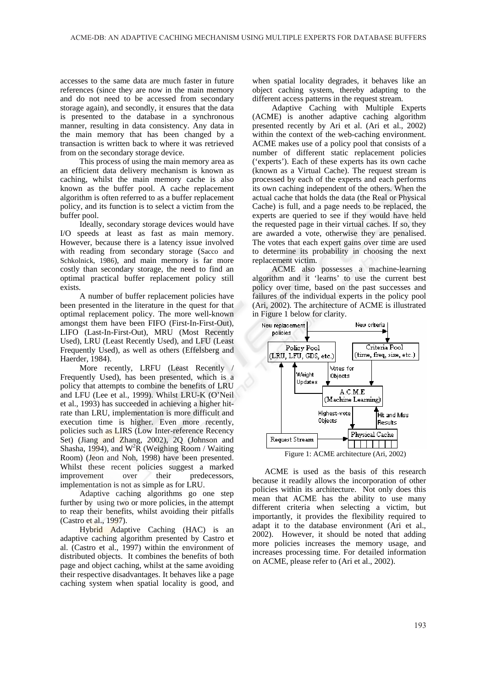accesses to the same data are much faster in future references (since they are now in the main memory and do not need to be accessed from secondary storage again), and secondly, it ensures that the data is presented to the database in a synchronous manner, resulting in data consistency. Any data in the main memory that has been changed by a transaction is written back to where it was retrieved from on the secondary storage device.

This process of using the main memory area as an efficient data delivery mechanism is known as caching, whilst the main memory cache is also known as the buffer pool. A cache replacement algorithm is often referred to as a buffer replacement policy, and its function is to select a victim from the buffer pool.

Ideally, secondary storage devices would have I/O speeds at least as fast as main memory. However, because there is a latency issue involved with reading from secondary storage (Sacco and Schkolnick, 1986), and main memory is far more costly than secondary storage, the need to find an optimal practical buffer replacement policy still exists.

A number of buffer replacement policies have been presented in the literature in the quest for that optimal replacement policy. The more well-known amongst them have been FIFO (First-In-First-Out), LIFO (Last-In-First-Out), MRU (Most Recently Used), LRU (Least Recently Used), and LFU (Least Frequently Used), as well as others (Effelsberg and Haerder, 1984).

More recently, LRFU (Least Recently / Frequently Used), has been presented, which is a policy that attempts to combine the benefits of LRU and LFU (Lee et al., 1999). Whilst LRU-K (O'Neil et al., 1993) has succeeded in achieving a higher hitrate than LRU, implementation is more difficult and execution time is higher. Even more recently, policies such as LIRS (Low Inter-reference Recency Set) (Jiang and Zhang, 2002), 2Q (Johnson and Shasha, 1994), and  $W^2R$  (Weighing Room / Waiting Room) (Jeon and Noh, 1998) have been presented. Whilst these recent policies suggest a marked improvement over their predecessors, implementation is not as simple as for LRU.

Adaptive caching algorithms go one step further by using two or more policies, in the attempt to reap their benefits, whilst avoiding their pitfalls (Castro et al., 1997).

Hybrid Adaptive Caching (HAC) is an adaptive caching algorithm presented by Castro et al. (Castro et al., 1997) within the environment of distributed objects. It combines the benefits of both page and object caching, whilst at the same avoiding their respective disadvantages. It behaves like a page caching system when spatial locality is good, and

when spatial locality degrades, it behaves like an object caching system, thereby adapting to the different access patterns in the request stream.

Adaptive Caching with Multiple Experts (ACME) is another adaptive caching algorithm presented recently by Ari et al. (Ari et al., 2002) within the context of the web-caching environment. ACME makes use of a policy pool that consists of a number of different static replacement policies ('experts'). Each of these experts has its own cache (known as a Virtual Cache). The request stream is processed by each of the experts and each performs its own caching independent of the others. When the actual cache that holds the data (the Real or Physical Cache) is full, and a page needs to be replaced, the experts are queried to see if they would have held the requested page in their virtual caches. If so, they are awarded a vote, otherwise they are penalised. The votes that each expert gains over time are used to determine its probability in choosing the next replacement victim.

ACME also possesses a machine-learning algorithm and it 'learns' to use the current best policy over time, based on the past successes and failures of the individual experts in the policy pool (Ari, 2002). The architecture of ACME is illustrated in Figure 1 below for clarity.



Figure 1: ACME architecture (Ari, 2002)

ACME is used as the basis of this research because it readily allows the incorporation of other policies within its architecture. Not only does this mean that ACME has the ability to use many different criteria when selecting a victim, but importantly, it provides the flexibility required to adapt it to the database environment (Ari et al., 2002). However, it should be noted that adding more policies increases the memory usage, and increases processing time. For detailed information on ACME, please refer to (Ari et al., 2002).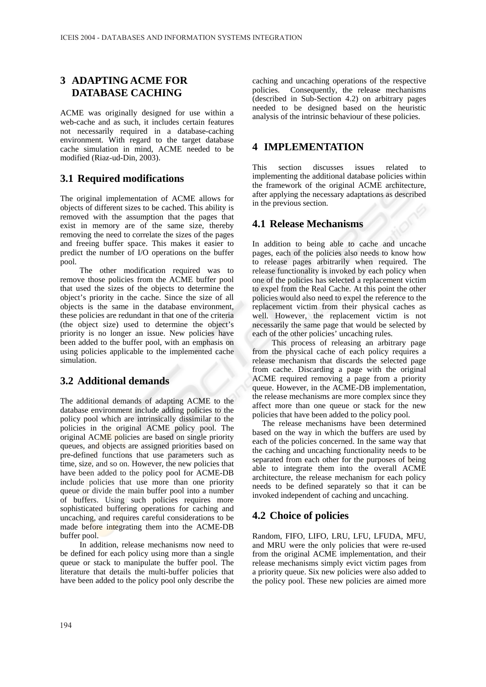## **3 ADAPTING ACME FOR DATABASE CACHING**

ACME was originally designed for use within a web-cache and as such, it includes certain features not necessarily required in a database-caching environment. With regard to the target database cache simulation in mind, ACME needed to be modified (Riaz-ud-Din, 2003).

## **3.1 Required modifications**

The original implementation of ACME allows for objects of different sizes to be cached. This ability is removed with the assumption that the pages that exist in memory are of the same size, thereby removing the need to correlate the sizes of the pages and freeing buffer space. This makes it easier to predict the number of I/O operations on the buffer pool.

 The other modification required was to remove those policies from the ACME buffer pool that used the sizes of the objects to determine the object's priority in the cache. Since the size of all objects is the same in the database environment, these policies are redundant in that one of the criteria (the object size) used to determine the object's priority is no longer an issue. New policies have been added to the buffer pool, with an emphasis on using policies applicable to the implemented cache simulation.

## **3.2 Additional demands**

The additional demands of adapting ACME to the database environment include adding policies to the policy pool which are intrinsically dissimilar to the policies in the original ACME policy pool. The original ACME policies are based on single priority queues, and objects are assigned priorities based on pre-defined functions that use parameters such as time, size, and so on. However, the new policies that have been added to the policy pool for ACME-DB include policies that use more than one priority queue or divide the main buffer pool into a number of buffers. Using such policies requires more sophisticated buffering operations for caching and uncaching, and requires careful considerations to be made before integrating them into the ACME-DB buffer pool.

 In addition, release mechanisms now need to be defined for each policy using more than a single queue or stack to manipulate the buffer pool. The literature that details the multi-buffer policies that have been added to the policy pool only describe the

caching and uncaching operations of the respective policies. Consequently, the release mechanisms (described in Sub-Section 4.2) on arbitrary pages needed to be designed based on the heuristic analysis of the intrinsic behaviour of these policies.

### **4 IMPLEMENTATION**

This section discusses issues related to implementing the additional database policies within the framework of the original ACME architecture, after applying the necessary adaptations as described in the previous section.

### **4.1 Release Mechanisms**

In addition to being able to cache and uncache pages, each of the policies also needs to know how to release pages arbitrarily when required. The release functionality is invoked by each policy when one of the policies has selected a replacement victim to expel from the Real Cache. At this point the other policies would also need to expel the reference to the replacement victim from their physical caches as well. However, the replacement victim is not necessarily the same page that would be selected by each of the other policies' uncaching rules.

 This process of releasing an arbitrary page from the physical cache of each policy requires a release mechanism that discards the selected page from cache. Discarding a page with the original ACME required removing a page from a priority queue. However, in the ACME-DB implementation, the release mechanisms are more complex since they affect more than one queue or stack for the new policies that have been added to the policy pool.

 The release mechanisms have been determined based on the way in which the buffers are used by each of the policies concerned. In the same way that the caching and uncaching functionality needs to be separated from each other for the purposes of being able to integrate them into the overall ACME architecture, the release mechanism for each policy needs to be defined separately so that it can be invoked independent of caching and uncaching.

## **4.2 Choice of policies**

Random, FIFO, LIFO, LRU, LFU, LFUDA, MFU, and MRU were the only policies that were re-used from the original ACME implementation, and their release mechanisms simply evict victim pages from a priority queue. Six new policies were also added to the policy pool. These new policies are aimed more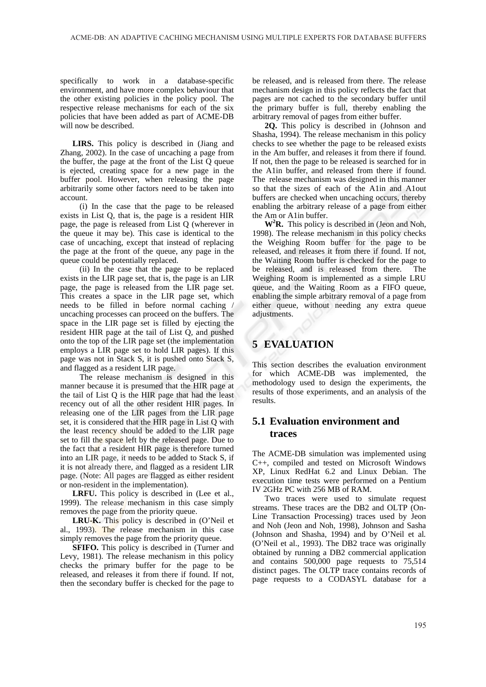specifically to work in a database-specific environment, and have more complex behaviour that the other existing policies in the policy pool. The respective release mechanisms for each of the six policies that have been added as part of ACME-DB will now be described.

**LIRS.** This policy is described in (Jiang and Zhang, 2002). In the case of uncaching a page from the buffer, the page at the front of the List Q queue is ejected, creating space for a new page in the buffer pool. However, when releasing the page arbitrarily some other factors need to be taken into account.

 (i) In the case that the page to be released exists in List Q, that is, the page is a resident HIR page, the page is released from List Q (wherever in the queue it may be). This case is identical to the case of uncaching, except that instead of replacing the page at the front of the queue, any page in the queue could be potentially replaced.

 (ii) In the case that the page to be replaced exists in the LIR page set, that is, the page is an LIR page, the page is released from the LIR page set. This creates a space in the LIR page set, which needs to be filled in before normal caching / uncaching processes can proceed on the buffers. The space in the LIR page set is filled by ejecting the resident HIR page at the tail of List Q, and pushed onto the top of the LIR page set (the implementation employs a LIR page set to hold LIR pages). If this page was not in Stack S, it is pushed onto Stack S, and flagged as a resident LIR page.

 The release mechanism is designed in this manner because it is presumed that the HIR page at the tail of List Q is the HIR page that had the least recency out of all the other resident HIR pages. In releasing one of the LIR pages from the LIR page set, it is considered that the HIR page in List Q with the least recency should be added to the LIR page set to fill the space left by the released page. Due to the fact that a resident HIR page is therefore turned into an LIR page, it needs to be added to Stack S, if it is not already there, and flagged as a resident LIR page. (Note: All pages are flagged as either resident or non-resident in the implementation).

**LRFU.** This policy is described in (Lee et al., 1999). The release mechanism in this case simply removes the page from the priority queue.

**LRU-K.** This policy is described in (O'Neil et al., 1993). The release mechanism in this case simply removes the page from the priority queue.

**SFIFO.** This policy is described in (Turner and Levy, 1981). The release mechanism in this policy checks the primary buffer for the page to be released, and releases it from there if found. If not, then the secondary buffer is checked for the page to be released, and is released from there. The release mechanism design in this policy reflects the fact that pages are not cached to the secondary buffer until the primary buffer is full, thereby enabling the arbitrary removal of pages from either buffer.

**2Q.** This policy is described in (Johnson and Shasha, 1994). The release mechanism in this policy checks to see whether the page to be released exists in the Am buffer, and releases it from there if found. If not, then the page to be released is searched for in the A1in buffer, and released from there if found. The release mechanism was designed in this manner so that the sizes of each of the A1in and A1out buffers are checked when uncaching occurs, thereby enabling the arbitrary release of a page from either the Am or A1in buffer.

**W2 R.** This policy is described in (Jeon and Noh, 1998). The release mechanism in this policy checks the Weighing Room buffer for the page to be released, and releases it from there if found. If not, the Waiting Room buffer is checked for the page to be released, and is released from there. The Weighing Room is implemented as a simple LRU queue, and the Waiting Room as a FIFO queue, enabling the simple arbitrary removal of a page from either queue, without needing any extra queue adjustments.

## **5 EVALUATION**

This section describes the evaluation environment for which ACME-DB was implemented, the methodology used to design the experiments, the results of those experiments, and an analysis of the results.

## **5.1 Evaluation environment and traces**

The ACME-DB simulation was implemented using C++, compiled and tested on Microsoft Windows XP, Linux RedHat 6.2 and Linux Debian. The execution time tests were performed on a Pentium IV 2GHz PC with 256 MB of RAM.

Two traces were used to simulate request streams. These traces are the DB2 and OLTP (On-Line Transaction Processing) traces used by Jeon and Noh (Jeon and Noh, 1998), Johnson and Sasha (Johnson and Shasha, 1994) and by O'Neil et al*.* (O'Neil et al., 1993). The DB2 trace was originally obtained by running a DB2 commercial application and contains 500,000 page requests to 75,514 distinct pages. The OLTP trace contains records of page requests to a CODASYL database for a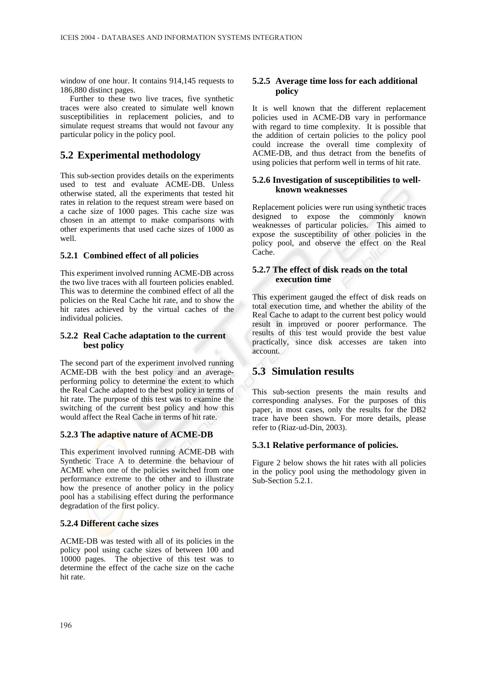window of one hour. It contains 914,145 requests to 186,880 distinct pages.

 Further to these two live traces, five synthetic traces were also created to simulate well known susceptibilities in replacement policies, and to simulate request streams that would not favour any particular policy in the policy pool.

## **5.2 Experimental methodology**

This sub-section provides details on the experiments used to test and evaluate ACME-DB. Unless otherwise stated, all the experiments that tested hit rates in relation to the request stream were based on a cache size of 1000 pages. This cache size was chosen in an attempt to make comparisons with other experiments that used cache sizes of 1000 as well.

#### **5.2.1 Combined effect of all policies**

This experiment involved running ACME-DB across the two live traces with all fourteen policies enabled. This was to determine the combined effect of all the policies on the Real Cache hit rate, and to show the hit rates achieved by the virtual caches of the individual policies.

#### **5.2.2 Real Cache adaptation to the current best policy**

The second part of the experiment involved running ACME-DB with the best policy and an averageperforming policy to determine the extent to which the Real Cache adapted to the best policy in terms of hit rate. The purpose of this test was to examine the switching of the current best policy and how this would affect the Real Cache in terms of hit rate.

#### **5.2.3 The adaptive nature of ACME-DB**

This experiment involved running ACME-DB with Synthetic Trace A to determine the behaviour of ACME when one of the policies switched from one performance extreme to the other and to illustrate how the presence of another policy in the policy pool has a stabilising effect during the performance degradation of the first policy.

#### **5.2.4 Different cache sizes**

ACME-DB was tested with all of its policies in the policy pool using cache sizes of between 100 and 10000 pages. The objective of this test was to determine the effect of the cache size on the cache hit rate.

#### **5.2.5 Average time loss for each additional policy**

It is well known that the different replacement policies used in ACME-DB vary in performance with regard to time complexity. It is possible that the addition of certain policies to the policy pool could increase the overall time complexity of ACME-DB, and thus detract from the benefits of using policies that perform well in terms of hit rate.

#### **5.2.6 Investigation of susceptibilities to wellknown weaknesses**

Replacement policies were run using synthetic traces designed to expose the commonly known weaknesses of particular policies. This aimed to expose the susceptibility of other policies in the policy pool, and observe the effect on the Real Cache.

#### **5.2.7 The effect of disk reads on the total execution time**

This experiment gauged the effect of disk reads on total execution time, and whether the ability of the Real Cache to adapt to the current best policy would result in improved or poorer performance. The results of this test would provide the best value practically, since disk accesses are taken into account.

## **5.3 Simulation results**

This sub-section presents the main results and corresponding analyses. For the purposes of this paper, in most cases, only the results for the DB2 trace have been shown. For more details, please refer to (Riaz-ud-Din, 2003).

#### **5.3.1 Relative performance of policies.**

Figure 2 below shows the hit rates with all policies in the policy pool using the methodology given in Sub-Section 5.2.1.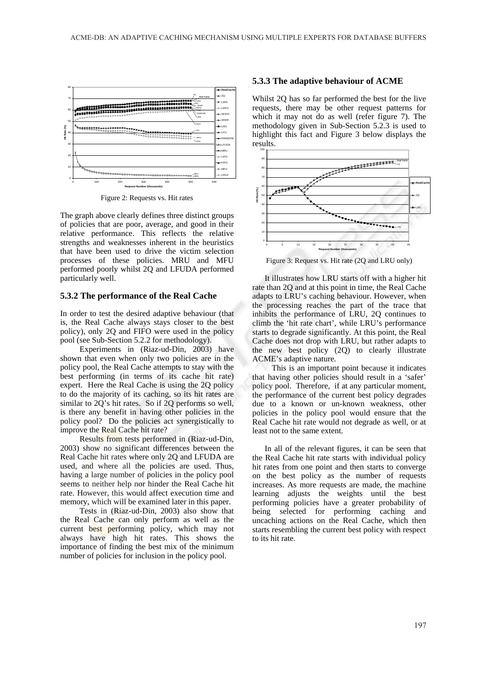

Figure 2: Requests vs. Hit rates

The graph above clearly defines three distinct groups of policies that are poor, average, and good in their relative performance. This reflects the relative strengths and weaknesses inherent in the heuristics that have been used to drive the victim selection processes of these policies. MRU and MFU performed poorly whilst 2Q and LFUDA performed particularly well.

#### **5.3.2 The performance of the Real Cache**

In order to test the desired adaptive behaviour (that is, the Real Cache always stays closer to the best policy), only 2Q and FIFO were used in the policy pool (see Sub-Section 5.2.2 for methodology).

Experiments in (Riaz-ud-Din, 2003) have shown that even when only two policies are in the policy pool, the Real Cache attempts to stay with the best performing (in terms of its cache hit rate) expert. Here the Real Cache is using the 2Q policy to do the majority of its caching, so its hit rates are similar to 2Q's hit rates. So if 2Q performs so well, is there any benefit in having other policies in the policy pool? Do the policies act synergistically to improve the Real Cache hit rate?

Results from tests performed in (Riaz-ud-Din, 2003) show no significant differences between the Real Cache hit rates where only 2Q and LFUDA are used, and where all the policies are used. Thus, having a large number of policies in the policy pool seems to neither help nor hinder the Real Cache hit rate. However, this would affect execution time and memory, which will be examined later in this paper.

Tests in (Riaz-ud-Din, 2003) also show that the Real Cache can only perform as well as the current best performing policy, which may not always have high hit rates. This shows the importance of finding the best mix of the minimum number of policies for inclusion in the policy pool.

#### **5.3.3 The adaptive behaviour of ACME**

Whilst 2Q has so far performed the best for the live requests, there may be other request patterns for which it may not do as well (refer figure 7). The methodology given in Sub-Section 5.2.3 is used to highlight this fact and Figure 3 below displays the results.



Figure 3: Request vs. Hit rate (2Q and LRU only)

It illustrates how LRU starts off with a higher hit rate than 2Q and at this point in time, the Real Cache adapts to LRU's caching behaviour. However, when the processing reaches the part of the trace that inhibits the performance of LRU, 2Q continues to climb the 'hit rate chart', while LRU's performance starts to degrade significantly. At this point, the Real Cache does not drop with LRU, but rather adapts to the new best policy (2Q) to clearly illustrate ACME's adaptive nature.

This is an important point because it indicates that having other policies should result in a 'safer' policy pool. Therefore, if at any particular moment, the performance of the current best policy degrades due to a known or un-known weakness, other policies in the policy pool would ensure that the Real Cache hit rate would not degrade as well, or at least not to the same extent.

In all of the relevant figures, it can be seen that the Real Cache hit rate starts with individual policy hit rates from one point and then starts to converge on the best policy as the number of requests increases. As more requests are made, the machine learning adjusts the weights until the best performing policies have a greater probability of being selected for performing caching and uncaching actions on the Real Cache, which then starts resembling the current best policy with respect to its hit rate.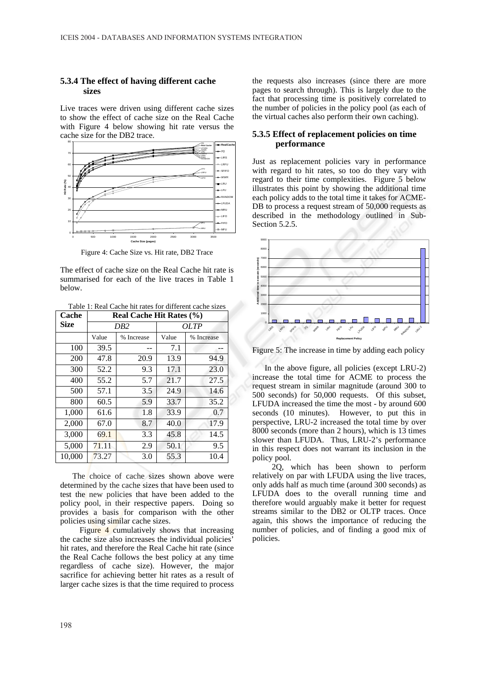#### **5.3.4 The effect of having different cache sizes**

Live traces were driven using different cache sizes to show the effect of cache size on the Real Cache with Figure 4 below showing hit rate versus the cache size for the DB2 trace.



Figure 4: Cache Size vs. Hit rate, DB2 Trace

The effect of cache size on the Real Cache hit rate is summarised for each of the live traces in Table 1 below.

Table 1: Real Cache hit rates for different cache sizes

| Cache       | <b>Real Cache Hit Rates (%)</b> |            |       |            |  |
|-------------|---------------------------------|------------|-------|------------|--|
| <b>Size</b> | DB2                             |            | OLTP  |            |  |
|             | Value                           | % Increase | Value | % Increase |  |
| 100         | 39.5                            |            | 7.1   |            |  |
| 200         | 47.8                            | 20.9       | 13.9  | 94.9       |  |
| 300         | 52.2                            | 9.3        | 17.1  | 23.0       |  |
| 400         | 55.2                            | 5.7        | 21.7  | 27.5       |  |
| 500         | 57.1                            | 3.5        | 24.9  | 14.6       |  |
| 800         | 60.5                            | 5.9        | 33.7  | 35.2       |  |
| 1,000       | 61.6                            | 1.8        | 33.9  | 0.7        |  |
| 2,000       | 67.0                            | 8.7        | 40.0  | 17.9       |  |
| 3,000       | 69.1                            | 3.3        | 45.8  | 14.5       |  |
| 5,000       | 71.11                           | 2.9        | 50.1  | 9.5        |  |
| 10,000      | 73.27                           | 3.0        | 55.3  | 10.4       |  |

The choice of cache sizes shown above were determined by the cache sizes that have been used to test the new policies that have been added to the policy pool, in their respective papers. Doing so provides a basis for comparison with the other policies using similar cache sizes.

Figure 4 cumulatively shows that increasing the cache size also increases the individual policies' hit rates, and therefore the Real Cache hit rate (since the Real Cache follows the best policy at any time regardless of cache size). However, the major sacrifice for achieving better hit rates as a result of larger cache sizes is that the time required to process

the requests also increases (since there are more pages to search through). This is largely due to the fact that processing time is positively correlated to the number of policies in the policy pool (as each of the virtual caches also perform their own caching).

#### **5.3.5 Effect of replacement policies on time performance**

Just as replacement policies vary in performance with regard to hit rates, so too do they vary with regard to their time complexities. Figure 5 below illustrates this point by showing the additional time each policy adds to the total time it takes for ACME-DB to process a request stream of 50,000 requests as described in the methodology outlined in Sub-Section 5.2.5.



Figure 5: The increase in time by adding each policy

In the above figure, all policies (except LRU-2) increase the total time for ACME to process the request stream in similar magnitude (around 300 to 500 seconds) for 50,000 requests. Of this subset, LFUDA increased the time the most - by around 600 seconds (10 minutes). However, to put this in perspective, LRU-2 increased the total time by over 8000 seconds (more than 2 hours), which is 13 times slower than LFUDA. Thus, LRU-2's performance in this respect does not warrant its inclusion in the policy pool.

2Q, which has been shown to perform relatively on par with LFUDA using the live traces, only adds half as much time (around 300 seconds) as LFUDA does to the overall running time and therefore would arguably make it better for request streams similar to the DB2 or OLTP traces. Once again, this shows the importance of reducing the number of policies, and of finding a good mix of policies.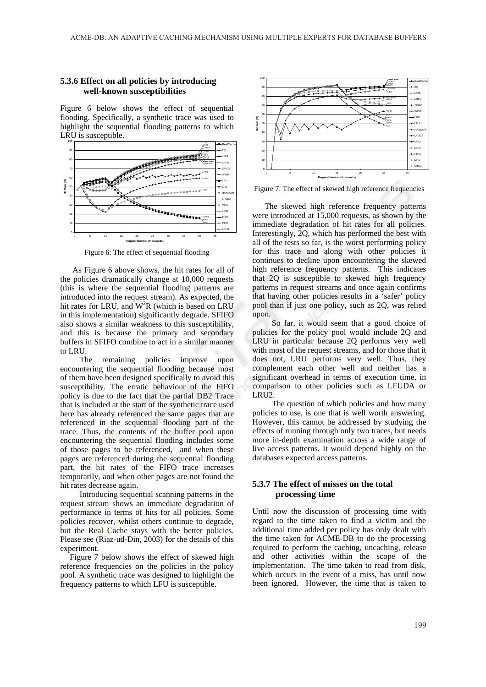#### **5.3.6 Effect on all policies by introducing well-known susceptibilities**

Figure 6 below shows the effect of sequential flooding. Specifically, a synthetic trace was used to highlight the sequential flooding patterns to which LRU is susceptible.



Figure 6: The effect of sequential flooding

As Figure 6 above shows, the hit rates for all of the policies dramatically change at 10,000 requests (this is where the sequential flooding patterns are introduced into the request stream). As expected, the hit rates for LRU, and  $W^2R$  (which is based on LRU in this implementation) significantly degrade. SFIFO also shows a similar weakness to this susceptibility, and this is because the primary and secondary buffers in SFIFO combine to act in a similar manner to LRU.

The remaining policies improve upon encountering the sequential flooding because most of them have been designed specifically to avoid this susceptibility. The erratic behaviour of the FIFO policy is due to the fact that the partial DB2 Trace that is included at the start of the synthetic trace used here has already referenced the same pages that are referenced in the sequential flooding part of the trace. Thus, the contents of the buffer pool upon encountering the sequential flooding includes some of those pages to be referenced, and when these pages are referenced during the sequential flooding part, the hit rates of the FIFO trace increases temporarily, and when other pages are not found the hit rates decrease again.

Introducing sequential scanning patterns in the request stream shows an immediate degradation of performance in terms of hits for all policies. Some policies recover, whilst others continue to degrade, but the Real Cache stays with the better policies. Please see (Riaz-ud-Din, 2003) for the details of this experiment.

Figure 7 below shows the effect of skewed high reference frequencies on the policies in the policy pool. A synthetic trace was designed to highlight the frequency patterns to which LFU is susceptible.



Figure 7: The effect of skewed high reference frequencies

The skewed high reference frequency patterns were introduced at 15,000 requests, as shown by the immediate degradation of hit rates for all policies. Interestingly, 2Q, which has performed the best with all of the tests so far, is the worst performing policy for this trace and along with other policies it continues to decline upon encountering the skewed high reference frequency patterns. This indicates that 2Q is susceptible to skewed high frequency patterns in request streams and once again confirms that having other policies results in a 'safer' policy pool than if just one policy, such as 2Q, was relied upon.

So far, it would seem that a good choice of policies for the policy pool would include 2Q and LRU in particular because 2Q performs very well with most of the request streams, and for those that it does not, LRU performs very well. Thus, they complement each other well and neither has a significant overhead in terms of execution time, in comparison to other policies such as LFUDA or LRU2.

The question of which policies and how many policies to use, is one that is well worth answering. However, this cannot be addressed by studying the effects of running through only two traces, but needs more in-depth examination across a wide range of live access patterns. It would depend highly on the databases expected access patterns.

#### **5.3.7 The effect of misses on the total processing time**

Until now the discussion of processing time with regard to the time taken to find a victim and the additional time added per policy has only dealt with the time taken for ACME-DB to do the processing required to perform the caching, uncaching, release and other activities within the scope of the implementation. The time taken to read from disk, which occurs in the event of a miss, has until now been ignored. However, the time that is taken to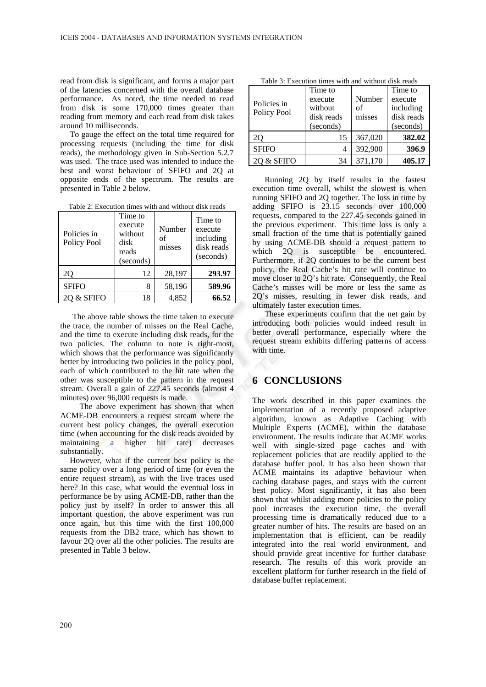read from disk is significant, and forms a major part of the latencies concerned with the overall database performance. As noted, the time needed to read from disk is some 170,000 times greater than reading from memory and each read from disk takes around 10 milliseconds.

 To gauge the effect on the total time required for processing requests (including the time for disk reads), the methodology given in Sub-Section 5.2.7 was used. The trace used was intended to induce the best and worst behaviour of SFIFO and 2Q at opposite ends of the spectrum. The results are presented in Table 2 below.

Table 2: Execution times with and without disk reads

| Policies in<br>Policy Pool | Time to<br>execute<br>without<br>disk<br>reads<br>(seconds) | Number<br>of<br>misses | Time to<br>execute<br>including<br>disk reads<br>(seconds) |
|----------------------------|-------------------------------------------------------------|------------------------|------------------------------------------------------------|
| 0                          | 12                                                          | 28,197                 | 293.97                                                     |
| <b>SFIFO</b>               | 8                                                           | 58,196                 | 589.96                                                     |
| 2Q & SFIFO                 | 18                                                          | 4,852                  | 66.52                                                      |

The above table shows the time taken to execute the trace, the number of misses on the Real Cache, and the time to execute including disk reads, for the two policies. The column to note is right-most, which shows that the performance was significantly better by introducing two policies in the policy pool, each of which contributed to the hit rate when the other was susceptible to the pattern in the request stream. Overall a gain of 227.45 seconds (almost 4 minutes) over 96,000 requests is made.

 The above experiment has shown that when ACME-DB encounters a request stream where the current best policy changes, the overall execution time (when accounting for the disk reads avoided by maintaining a higher hit rate) decreases substantially.

 However, what if the current best policy is the same policy over a long period of time (or even the entire request stream), as with the live traces used here? In this case, what would the eventual loss in performance be by using ACME-DB, rather than the policy just by itself? In order to answer this all important question, the above experiment was run once again, but this time with the first 100,000 requests from the DB2 trace, which has shown to favour 2Q over all the other policies. The results are presented in Table 3 below.

Table 3: Execution times with and without disk reads

| Policies in<br>Policy Pool | Time to<br>execute<br>without<br>disk reads<br>(seconds) | Number<br>οf<br>misses | Time to<br>execute<br>including<br>disk reads<br>(seconds) |  |  |
|----------------------------|----------------------------------------------------------|------------------------|------------------------------------------------------------|--|--|
|                            | 15                                                       | 367,020                | 382.02                                                     |  |  |
| <b>SFIFO</b>               |                                                          | 392,900                | 396.9                                                      |  |  |
| & SFIFO                    | 34                                                       | 371,170                | 405.17                                                     |  |  |

Running 2Q by itself results in the fastest execution time overall, whilst the slowest is when running SFIFO and 2Q together. The loss in time by adding SFIFO is 23.15 seconds over 100,000 requests, compared to the 227.45 seconds gained in the previous experiment. This time loss is only a small fraction of the time that is potentially gained by using ACME-DB should a request pattern to which 2Q is susceptible be encountered. Furthermore, if 2Q continues to be the current best policy, the Real Cache's hit rate will continue to move closer to 2Q's hit rate. Consequently, the Real Cache's misses will be more or less the same as 2Q's misses, resulting in fewer disk reads, and ultimately faster execution times.

These experiments confirm that the net gain by introducing both policies would indeed result in better overall performance, especially where the request stream exhibits differing patterns of access with time.

### **6 CONCLUSIONS**

The work described in this paper examines the implementation of a recently proposed adaptive algorithm, known as Adaptive Caching with Multiple Experts (ACME), within the database environment. The results indicate that ACME works well with single-sized page caches and with replacement policies that are readily applied to the database buffer pool. It has also been shown that ACME maintains its adaptive behaviour when caching database pages, and stays with the current best policy. Most significantly, it has also been shown that whilst adding more policies to the policy pool increases the execution time, the overall processing time is dramatically reduced due to a greater number of hits. The results are based on an implementation that is efficient, can be readily integrated into the real world environment, and should provide great incentive for further database research. The results of this work provide an excellent platform for further research in the field of database buffer replacement.